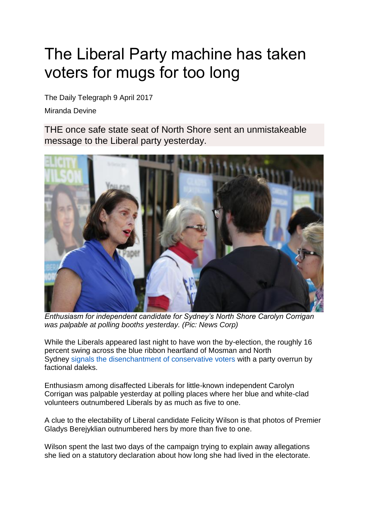## The Liberal Party machine has taken voters for mugs for too long

The Daily Telegraph 9 April 2017

Miranda Devine

THE once safe state seat of North Shore sent an unmistakeable message to the Liberal party yesterday.



*Enthusiasm for independent candidate for Sydney's North Shore Carolyn Corrigan was palpable at polling booths yesterday. (Pic: News Corp)*

While the Liberals appeared last night to have won the by-election, the roughly 16 percent swing across the blue ribbon heartland of Mosman and North Sydney [signals the disenchantment of conservative voters](http://www.dailytelegraph.com.au/news/national/liberals-brace-for-voter-backlash-in-sydney-byelections/news-story/f8e07115be675dcbfb54f17b10894bf1) with a party overrun by factional daleks.

Enthusiasm among disaffected Liberals for little-known independent Carolyn Corrigan was palpable yesterday at polling places where her blue and white-clad volunteers outnumbered Liberals by as much as five to one.

A clue to the electability of Liberal candidate Felicity Wilson is that photos of Premier Gladys Berejyklian outnumbered hers by more than five to one.

Wilson spent the last two days of the campaign trying to explain away allegations she lied on a statutory declaration about how long she had lived in the electorate.